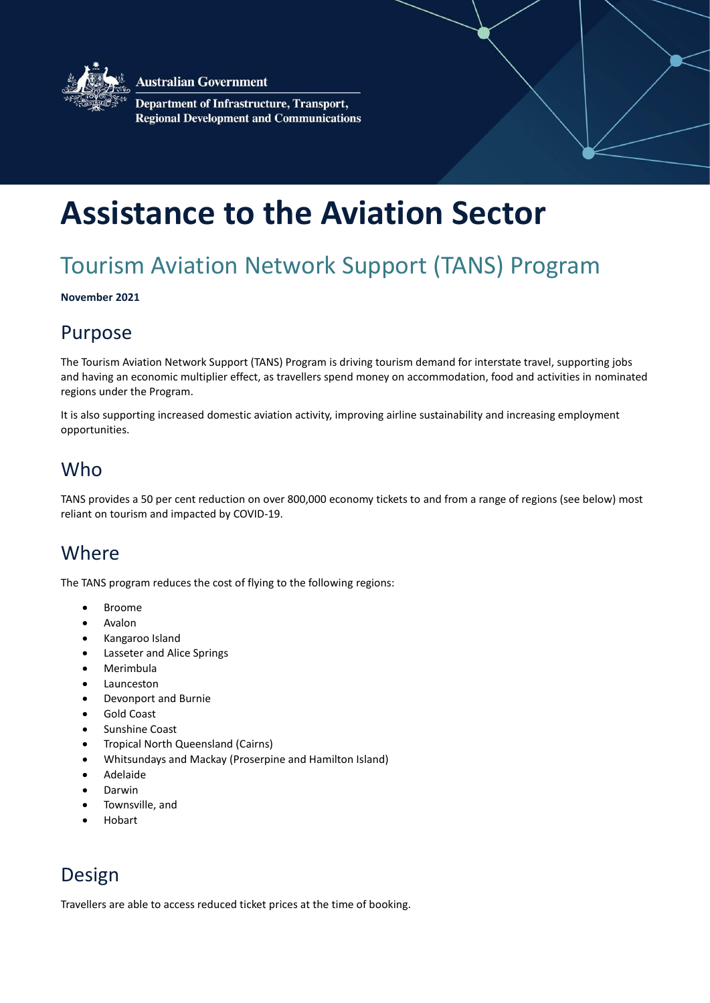

**Australian Government** 

**Department of Infrastructure, Transport, Regional Development and Communications** 

# **Assistance to the Aviation Sector**

# Tourism Aviation Network Support (TANS) Program

**November 2021**

### Purpose

The Tourism Aviation Network Support (TANS) Program is driving tourism demand for interstate travel, supporting jobs and having an economic multiplier effect, as travellers spend money on accommodation, food and activities in nominated regions under the Program.

It is also supporting increased domestic aviation activity, improving airline sustainability and increasing employment opportunities.

### Who

TANS provides a 50 per cent reduction on over 800,000 economy tickets to and from a range of regions (see below) most reliant on tourism and impacted by COVID-19.

### **Where**

The TANS program reduces the cost of flying to the following regions:

- Broome
- Avalon
- Kangaroo Island
- Lasseter and Alice Springs
- Merimbula
- Launceston
- Devonport and Burnie
- Gold Coast
- Sunshine Coast
- Tropical North Queensland (Cairns)
- Whitsundays and Mackay (Proserpine and Hamilton Island)
- Adelaide
- Darwin
- Townsville, and
- Hobart

### Design

Travellers are able to access reduced ticket prices at the time of booking.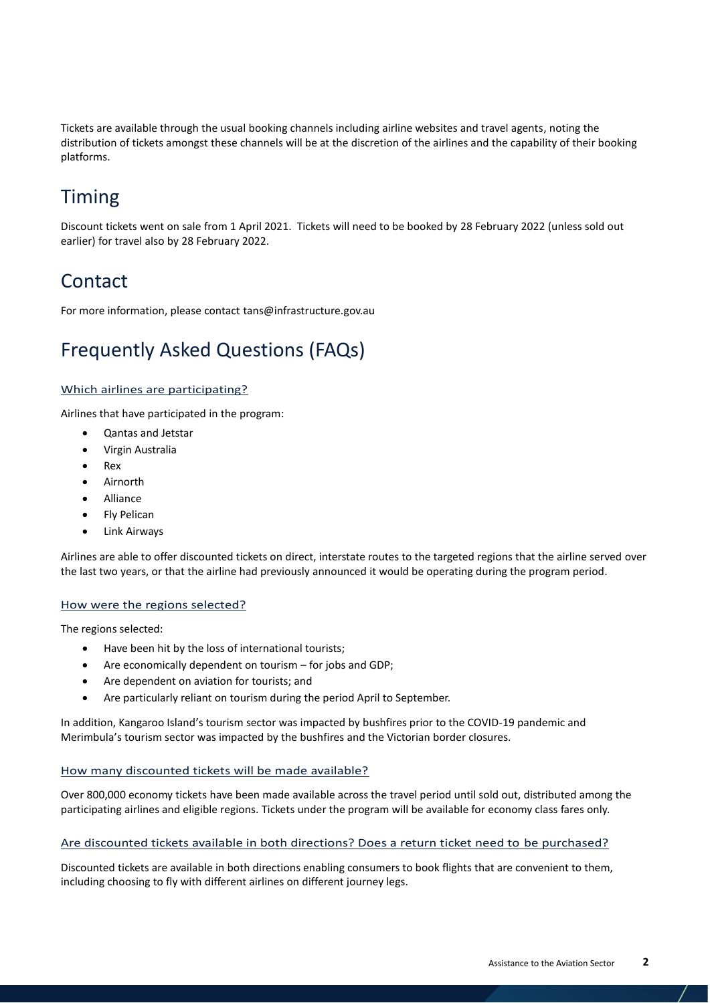Tickets are available through the usual booking channels including airline websites and travel agents, noting the distribution of tickets amongst these channels will be at the discretion of the airlines and the capability of their booking platforms.

## Timing

Discount tickets went on sale from 1 April 2021. Tickets will need to be booked by 28 February 2022 (unless sold out earlier) for travel also by 28 February 2022.

### **Contact**

For more information, please contact tans@infrastructure.gov.au

### Frequently Asked Questions (FAQs)

### Which airlines are participating?

Airlines that have participated in the program:

- Qantas and Jetstar
- Virgin Australia
- Rex
- Airnorth
- Alliance
- Fly Pelican
- Link Airways

Airlines are able to offer discounted tickets on direct, interstate routes to the targeted regions that the airline served over the last two years, or that the airline had previously announced it would be operating during the program period.

#### How were the regions selected?

The regions selected:

- Have been hit by the loss of international tourists;
- Are economically dependent on tourism for jobs and GDP;
- Are dependent on aviation for tourists; and
- Are particularly reliant on tourism during the period April to September.

In addition, Kangaroo Island's tourism sector was impacted by bushfires prior to the COVID-19 pandemic and Merimbula's tourism sector was impacted by the bushfires and the Victorian border closures.

#### How many discounted tickets will be made available?

Over 800,000 economy tickets have been made available across the travel period until sold out, distributed among the participating airlines and eligible regions. Tickets under the program will be available for economy class fares only.

#### Are discounted tickets available in both directions? Does a return ticket need to be purchased?

Discounted tickets are available in both directions enabling consumers to book flights that are convenient to them, including choosing to fly with different airlines on different journey legs.